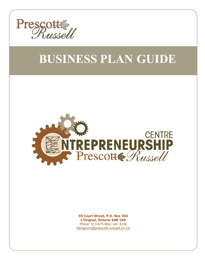

# **BUSINESS PLAN GUIDE**



**59 Court Street, P.O. Box 304 L'Orignal, Ontario K0B 1K0**  Phone: 613-675-4661 ext. 8106 [llangevin@prescott-russell.on.ca](mailto:BBrunette@prescott-russell.on.ca)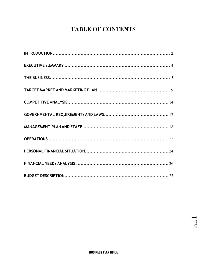## **TABLE OF CONTENTS**

 $_{\rm Page}1$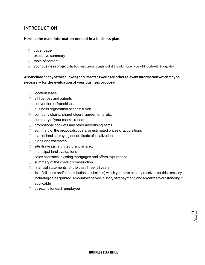## <span id="page-2-0"></span>**INTRODUCTION**

#### **Here is the main information needed in a business plan:**

- D cover page
- $\Box$  executive summary
- □ table of content
- $\Box$  your business project (the business project consists of all the information you will include with this guide)

#### **Also include a copy ofthe following documents as well as all other relevant information which may be necessary for the evaluation of your business proposal:**

- □ location lease
- $\Box$  all licences and patents
- $\Box$  convention of franchises
- $\Box$  business registration or constitution
- $\Box$  company charts, shareholders' agreements, etc.
- $\Box$  summary of your market research
- $\Box$  promotional booklets and other advertising items
- $\Box$  summary of the proposals, costs, or estimated prices of acquisitions
- $\Box$  plan of land surveying or certificate of localization
- $\Box$  plans and estimates
- $\Box$  site drawings, architectural plans, etc.
- $\Box$  municipal land evaluations
- $\Box$  sales contracts, existing mortgages and offers to purchase
- $\Box$  summary of the costs of construction
- $\Box$  financial statements for the past three (3) years
- $\Box$  list of all loans and/or contributions (subsidies) which you have already received for this company, including dates granted, amounts received, history of repayment, andany arrears outstanding if applicable
- a *resume* for each employee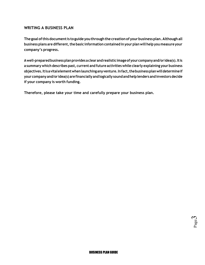#### **WRITING A BUSINESS PLAN**

**The goal of this document is to guide you through the creation of your business plan. Although all business plans are different, the basic information contained in your plan will help you measure your company's progress.** 

**A well-prepared business plan provides a clear and realistic image of your company and/or idea(s). It is a summary which describes past, current and future activities while clearly explaining your business objectives. Itis a vital element when launching any venture. In fact, the business plan will determine if your company and/or idea(s) are financially and logically sound and help lenders and investors decide if your company is worth funding.** 

**Therefore, please take your time and carefully prepare your business plan.** 

Page  $\omega$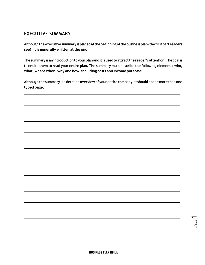## <span id="page-4-0"></span>**EXECUTIVE SUMMARY**

**Although the executive summary is placed atthe beginning of the business plan (the first part readers see), it is generally written at the end.** 

**The summary is an introduction to your plan and itis used to attract the reader's attention. The goal is to entice them to read your entire plan. The summary must describe the following elements: who, what, where when, why and how, including costs and income potential.** 

**Although the summary is a detailed overview of your entire company, it should not be more than one typed page.** 

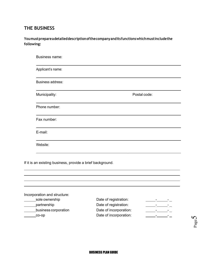## <span id="page-5-0"></span>**THE BUSINESS**

## **You must prepare a detailed description ofthe company and its functions which must include the following:**

| Business name:                                             |              |
|------------------------------------------------------------|--------------|
| Applicant's name:                                          |              |
| Business address:                                          |              |
| Municipality:                                              | Postal code: |
| Phone number:                                              |              |
| Fax number:                                                |              |
| E-mail:                                                    |              |
| Website:                                                   |              |
| If it is an existing business, provide a brief background. |              |
|                                                            |              |

| Incorporation and structure: |                        |  |
|------------------------------|------------------------|--|
| sole ownership               | Date of registration:  |  |
| partnership                  | Date of registration:  |  |
| business corporation         | Date of incorporation: |  |
| CO-OD                        | Date of incorporation: |  |
|                              |                        |  |

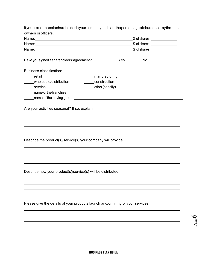| If you are not the sole shareholder in your company, indicate the percentage of shares held by the other |                                                     |
|----------------------------------------------------------------------------------------------------------|-----------------------------------------------------|
| owners or officers.                                                                                      |                                                     |
|                                                                                                          |                                                     |
|                                                                                                          |                                                     |
|                                                                                                          | % of shares: _______________                        |
| Have you signed a shareholders' agreement?                                                               | <b>Sand Yes</b><br>in it is not been been been been |
| <b>Business classification:</b>                                                                          |                                                     |
| ______manufacturing<br>_____retail                                                                       |                                                     |
| construction<br>_____wholesale/distribution                                                              |                                                     |
| ______service                                                                                            |                                                     |
|                                                                                                          |                                                     |
|                                                                                                          |                                                     |
| Are your activities seasonal? If so, explain.                                                            |                                                     |
|                                                                                                          |                                                     |
|                                                                                                          |                                                     |
|                                                                                                          |                                                     |
| Describe the product(s)/service(s) your company will provide.                                            |                                                     |
|                                                                                                          |                                                     |
|                                                                                                          |                                                     |
|                                                                                                          |                                                     |
| Describe how your product(s)/service(s) will be distributed.                                             |                                                     |
|                                                                                                          |                                                     |
|                                                                                                          |                                                     |
|                                                                                                          |                                                     |
| Please give the details of your products launch and/or hiring of your services.                          |                                                     |
|                                                                                                          |                                                     |
|                                                                                                          |                                                     |
|                                                                                                          |                                                     |
|                                                                                                          |                                                     |

Page  $\circ$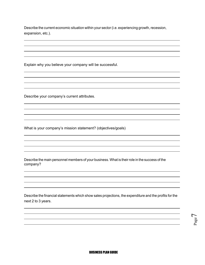Describe the current economic situation within your sector (i.e. experiencing growth, recession, expansion, etc.).

Explain why you believe your company will be successful.

Describe your company's current attributes.

What is your company's mission statement? (objectives/goals)

Describe the main personnel members of your business. What is their role in the success of the company?

Describe the financial statements which show sales projections, the expenditure and the profits for the next 2 to 3 years.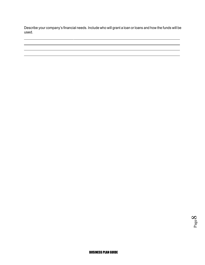Describe your company's financial needs. Include who will grant a loan or loans and how the funds will be used.

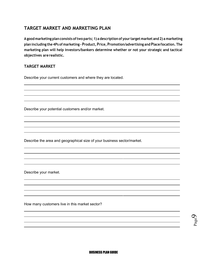## <span id="page-9-0"></span>**TARGET MARKET AND MARKETING PLAN**

**A good marketing plan consists of two parts; 1) a description of your target market and 2) a marketing plan including the 4Ps of marketing - Product, Price, Promotion/advertising and Place/location. The marketing plan will help investors/bankers determine whether or not your strategic and tactical objectives are realistic.** 

#### **TARGET MARKET**

Describe your current customers and where they are located.

Describe your potential customers and/or market.

Describe the area and geographical size of your business sector/market.

Describe your market.

How many customers live in this market sector?

Page  $\mathcal{O}$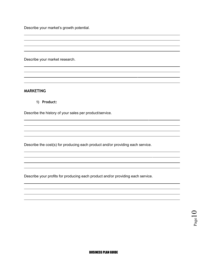Describe your market's growth potential.

Describe your market research.

#### **MARKETING**

**1) Product:** 

Describe the history of your sales per product/service.

Describe the cost(s) for producing each product and/or providing each service.

Describe your profits for producing each product and/or providing each service.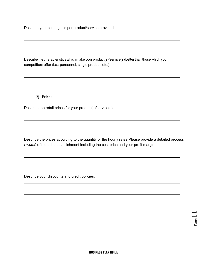Describe your sales goals per product/service provided.

Describe the characteristics which make your product(s)/service(s) better than those which your competitors offer (i.e.: personnel, single product, etc.).

#### **2) Price:**

Describe the retail prices for your product(s)/service(s).

Describe the prices according to the quantity or the hourly rate? Please provide a detailed process *résumé* of the price establishment including the cost price and your profit margin.

Describe your discounts and credit policies.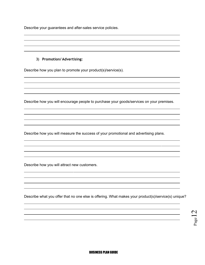Describe your guarantees and after-sales service policies.

#### **3) Promotion/ Advertising:**

Describe how you plan to promote your product(s)/service(s).

Describe how you will encourage people to purchase your goods/services on your premises.

Describe how you will measure the success of your promotional and advertising plans.

Describe how you will attract new customers.

Describe what you offer that no one else is offering. What makes your product(s)/service(s) unique?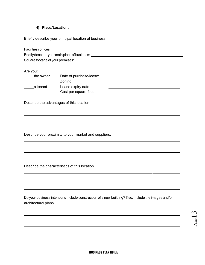#### **4) Place/Location:**

Briefly describe your principal location of business:

| Facilities/offices:                           |  |
|-----------------------------------------------|--|
| Briefly describe your main place of business: |  |
| Square footage of your premises:              |  |

Are you:

| the owner | Date of purchase/lease: |  |
|-----------|-------------------------|--|
|           | Zoning:                 |  |
| a tenant  | Lease expiry date:      |  |
|           | Cost per square foot:   |  |

Describe the advantages of this location.

Describe your proximity to your market and suppliers.

Describe the characteristics of this location.

Do your business intentions include construction of a new building? If so, include the images and/or architectural plans.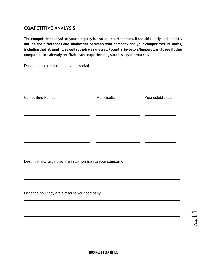## <span id="page-14-0"></span>**COMPETITIVE ANALYSIS**

**The competitive analysis of your company is also an important step. It should clearly and honestly outline the differences and similarities between your company and your competitors' business, including their strengths, as well as their weaknesses. Potential investors/lenders want to see if other companies are already profitable and experiencing success in your market.** 

Describe the competition in your market.

| <b>Competitors' Names</b> | Municipality | Year established                    |
|---------------------------|--------------|-------------------------------------|
|                           |              | —                                   |
|                           |              | the contract of the contract of the |
|                           |              | Ξ.                                  |
|                           |              |                                     |

Describe how large they are in comparison to your company.

Describe how they are similar to your company.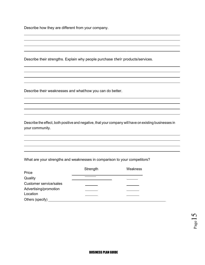Describe how they are different from your company.

Describe their strengths. Explain why people purchase *their* products/services.

Describe their weaknesses and what/how you can do better.

Describe the effect, both positive and negative, that your company will have on existing businesses in your community.

What are your strengths and weaknesses in comparison to your competitors?

|                               | Strength | Weakness |
|-------------------------------|----------|----------|
| Price                         |          |          |
| Quality                       |          |          |
| <b>Customer service/sales</b> |          |          |
| Advertising/promotion         |          |          |
| Location                      |          |          |
| Others (specify)              |          |          |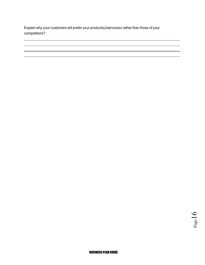Explain why your customers will prefer your product(s)/service(s) rather than those of your competitors?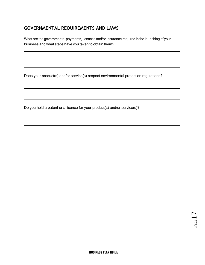## <span id="page-17-0"></span>**GOVERNMENTAL REQUIREMENTS AND LAWS**

What are the governmental payments, licences and/or insurance required in the launching of your business and what steps have you taken to obtain them?

Does your product(s) and/or service(s) respect environmental protection regulations?

Do you hold a patent or a licence for your product(s) and/or service(s)?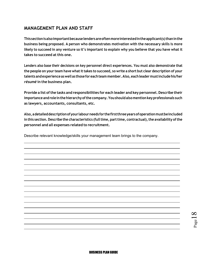## <span id="page-18-0"></span>**MANAGEMENT PLAN AND STAFF**

**This section is also important because lenders are often more interested in the applicant(s) than in the business being proposed. A person who demonstrates motivation with the necessary skills is more likely to succeed in any venture so it's important to explain why you believe that you have what it takes to succeed at this one.** 

**Lenders also base their decisions on key personnel direct experiences. You must also demonstrate that the people on your team have what it takes to succeed, so write a short but clear description of your talents and experience as well as those for each team member. Also, each leader must include his/her**  *résumé* **in the business plan.** 

**Provide a list of the tasks and responsibilities for each leader and key personnel. Describe their importance and role in the hierarchy of the company. You should also mention key professionals such as lawyers, accountants, consultants, etc.** 

**Also, a detailed description of your labour needs for the first three years of operation must be included in this section. Describe the characteristics (full time, part time, contractual), the availability of the personnel and all expenses related to recruitment.** 

Describe relevant knowledge/skills your management team brings to the company.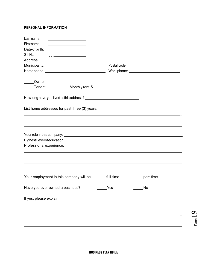#### **PERSONAL INFORMATION**

| Last name:               | <u> 1989 - Johann Barbara, martxa a shekara 1989 - An</u>                                                       |           |           |
|--------------------------|-----------------------------------------------------------------------------------------------------------------|-----------|-----------|
| Firstname:               | <u> 1989 - Johann Barnett, fransk politiker (d. 1989)</u>                                                       |           |           |
| Date of birth:           | <u> 1989 - Andrea State Barbara, amerikan per</u>                                                               |           |           |
| $S.I.N.$ :               |                                                                                                                 |           |           |
| Address:                 | <u> 1980 - Johann Barnett, fransk politiker (d. 1980)</u>                                                       |           |           |
|                          |                                                                                                                 |           |           |
|                          |                                                                                                                 |           |           |
|                          |                                                                                                                 |           |           |
| Owner                    |                                                                                                                 |           |           |
| Tenant                   |                                                                                                                 |           |           |
|                          |                                                                                                                 |           |           |
|                          |                                                                                                                 |           |           |
|                          | List home addresses for past three (3) years:                                                                   |           |           |
|                          |                                                                                                                 |           |           |
|                          |                                                                                                                 |           |           |
|                          |                                                                                                                 |           |           |
|                          |                                                                                                                 |           |           |
|                          | Highest Level of education: National Account of the Contract of the Contract of the Contract of the Contract of |           |           |
| Professional experience: |                                                                                                                 |           |           |
|                          |                                                                                                                 |           |           |
|                          |                                                                                                                 |           |           |
|                          |                                                                                                                 |           |           |
|                          |                                                                                                                 |           |           |
|                          | Your employment in this company will be                                                                         | full-time | part-time |
|                          |                                                                                                                 |           |           |
|                          | Have you ever owned a business?                                                                                 | Yes       | No        |
|                          |                                                                                                                 |           |           |
| If yes, please explain:  |                                                                                                                 |           |           |
|                          |                                                                                                                 |           |           |
|                          |                                                                                                                 |           |           |
|                          |                                                                                                                 |           |           |
|                          |                                                                                                                 |           |           |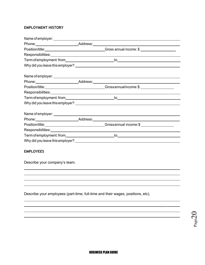#### **EMPLOYMENT HISTORY**

|  | Phone: Address: Address: Address: Address: Address: Address: Address: Address: Address: Address: Address: Address: Address: Address: Address: Address: Address: Address: Address: Address: Address: Address: Address: Address: |
|--|--------------------------------------------------------------------------------------------------------------------------------------------------------------------------------------------------------------------------------|
|  | Position/title: <u>Conservation Conservation</u> Cross annual income: \$                                                                                                                                                       |
|  | Responsibilities: Network and the second state of the second state of the second state of the second state of the second state of the second state of the second state of the second state of the second state of the second s |
|  |                                                                                                                                                                                                                                |
|  |                                                                                                                                                                                                                                |
|  |                                                                                                                                                                                                                                |
|  |                                                                                                                                                                                                                                |
|  | Position/title:________________________________Grossannualincome:\$______________                                                                                                                                              |
|  |                                                                                                                                                                                                                                |
|  |                                                                                                                                                                                                                                |
|  |                                                                                                                                                                                                                                |
|  |                                                                                                                                                                                                                                |
|  |                                                                                                                                                                                                                                |
|  | Position/title:_________________________________Grossannual income:\$____________                                                                                                                                              |
|  | Responsibilities: Network and the second state of the second state of the second state of the second state of the second state of the second state of the second state of the second state of the second state of the second s |
|  |                                                                                                                                                                                                                                |
|  |                                                                                                                                                                                                                                |

#### **EMPLOYEES**

Describe your company's team.

Describe your employees (part-time, full-time and their wages, positions, etc).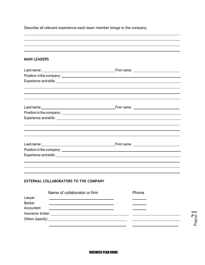Describe all relevant experience each team member brings to the company.

| <b>MAIN LEADERS</b>         |                                              |       |  |
|-----------------------------|----------------------------------------------|-------|--|
|                             |                                              |       |  |
|                             |                                              |       |  |
|                             |                                              |       |  |
|                             |                                              |       |  |
|                             |                                              |       |  |
|                             |                                              |       |  |
|                             |                                              |       |  |
|                             |                                              |       |  |
|                             |                                              |       |  |
|                             |                                              |       |  |
|                             |                                              |       |  |
|                             |                                              |       |  |
|                             |                                              |       |  |
|                             | <b>EXTERNAL COLLABORATORS TO THE COMPANY</b> |       |  |
|                             | Name of collaborator or firm                 | Phone |  |
| Lawyer                      |                                              |       |  |
| <b>Banker</b><br>Accountant |                                              |       |  |
|                             |                                              |       |  |
|                             |                                              |       |  |
|                             |                                              |       |  |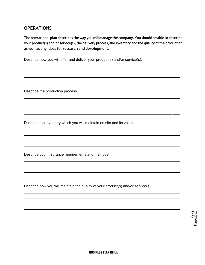## <span id="page-22-0"></span>**OPERATIONS**

**The operational plan describes the way you will manage the company. You should be able to describe your product(s) and/or service(s), the delivery process, the inventory and the quality of the production as well as any ideas for research and development.** 

Describe how you will offer and deliver your product(s) and/or service(s).

Describe the production process.

Describe the inventory which you will maintain on site and its value.

Describe your insurance requirements and their cost.

Describe how you will maintain the quality of your product(s) and/or service(s).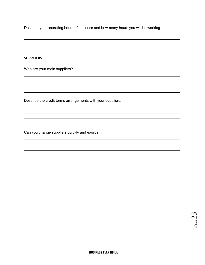Describe your operating hours of business and how many hours you will be working.

#### **SUPPLIERS**

Who are your main suppliers?

Describe the credit terms arrangements with your suppliers.

Can you change suppliers quickly and easily?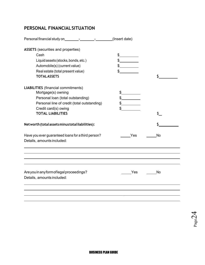## <span id="page-24-0"></span>**PERSONAL FINANCIAL SITUATION**

|                                                                                  | (Insert date)     |    |
|----------------------------------------------------------------------------------|-------------------|----|
| <b>ASSETS</b> (securities and properties)                                        |                   |    |
| Cash                                                                             | $\sim$            |    |
| Liquid assets (stocks, bonds, etc.)                                              |                   |    |
| Automobile(s) (current value)                                                    | $\frac{1}{2}$     |    |
| Real estate (total present value)                                                |                   |    |
| <b>TOTAL ASSETS</b>                                                              |                   | Š. |
| <b>LIABILITIES</b> (financial commitments)                                       |                   |    |
| Mortgage(s) owning                                                               |                   |    |
| Personal loan (total outstanding)                                                |                   |    |
| Personal line of credit (total outstanding)                                      | $\frac{1}{2}$     |    |
| Credit card(s) owing                                                             |                   |    |
| <b>TOTAL LIABILITIES</b>                                                         |                   |    |
| Net worth (total assets minus total liabilities):                                |                   |    |
| Have you ever guaranteed loans for a third person?<br>Details, amounts included: | <b>Parage Yes</b> | No |
|                                                                                  |                   |    |
|                                                                                  |                   |    |
| Are you in any form of legal proceedings?                                        | Yes               | No |
| Details, amounts included:                                                       |                   |    |
|                                                                                  |                   |    |
|                                                                                  |                   |    |
|                                                                                  |                   |    |

Page24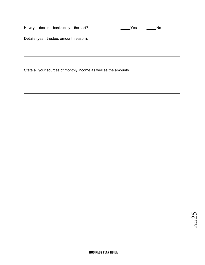| Have you declared bankruptcy in the past?                        | Yes | No |
|------------------------------------------------------------------|-----|----|
| Details (year, trustee, amount, reason):                         |     |    |
|                                                                  |     |    |
|                                                                  |     |    |
| State all your sources of monthly income as well as the amounts. |     |    |
|                                                                  |     |    |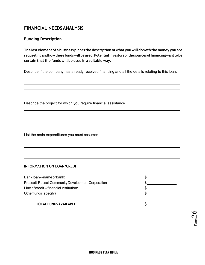## <span id="page-26-0"></span>**FINANCIAL NEEDS ANALYSIS**

#### **Funding Description**

**The last element of a business plan is the description of what you will do with the money you are requesting and how these funds will be used. Potential investors or the sources of financing want to be certain that the funds will be used in a suitable way.** 

Describe if the company has already received financing and all the details relating to this loan.

Describe the project for which you require financial assistance.

List the main expenditures you must assume:

#### **INFORMATION ON LOAN/CREDIT**

| Bankloan--name of bank:                            |  |
|----------------------------------------------------|--|
| Prescott-Russell Community Development Corporation |  |
| Line of credit -- financial institution:           |  |
| Other funds (specify)                              |  |
|                                                    |  |

#### **TOTAL FUNDS AVAILABLE \$**

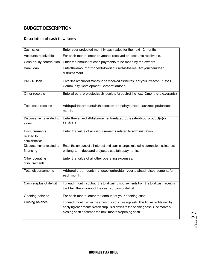## <span id="page-27-0"></span>**BUDGET DESCRIPTION**

## **Description of cash flow items**

| Cash sales                        | Enter your projected monthly cash sales for the next 12 months.                                                                            |
|-----------------------------------|--------------------------------------------------------------------------------------------------------------------------------------------|
| Accounts receivable               | For each month, enter payments received on accounts receivable.                                                                            |
| Cash equity contribution          | Enter the amount of cash payments to be made by the owners.                                                                                |
| <b>Bank loan</b>                  | Entertheamountofmoneytobedisbursed as the result of your bankloan<br>disbursement.                                                         |
| <b>PRCDC</b> loan                 | Enter the amount of money to be received as the result of your Prescott-Russell                                                            |
|                                   | Community Development Corporation loan.                                                                                                    |
| Other receipts                    | Enterall other projected cash receipts for each of the next 12 months (e.g.: grants).                                                      |
| Total cash receipts               | Add up all the amounts in this section to obtain your total cash receipts for each<br>month.                                               |
| Disbursements related to<br>sales | Enterthevalue of all disbursements related to the sale of your product(s) or<br>service(s).                                                |
| <b>Disbursements</b>              | Enter the value of all disbursements related to administration.                                                                            |
| related to<br>administration      |                                                                                                                                            |
| Disbursements related to          | Enter the amount of all interest and bank charges related to current loans, interest                                                       |
| financing                         | on long-term debt and projected capital repayments.                                                                                        |
|                                   |                                                                                                                                            |
| Other operating<br>disbursements  | Enter the value of all other operating expenses.                                                                                           |
| <b>Total disbursements</b>        | Addupallthe amounts in this section to obtain your total cash disbursements for<br>each month.                                             |
| Cash surplus of deficit           | For each month, subtract the total cash disbursements from the total cash receipts<br>to obtain the amount of the cash surplus or deficit. |
| Opening balance                   | For each month, enter the amount of your opening cash.                                                                                     |
| Closing balance                   | For each month, enter the amount of your closing cash. This figure is obtained by                                                          |
|                                   | applying each month's cash surplus or deficit to the opening cash. One month's                                                             |
|                                   | closing cash becomes the next month's opening cash.                                                                                        |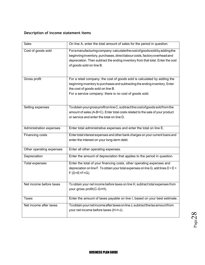#### **Description of income statement items**

| Sales                    | On line A, enter the total amount of sales for the period in question.               |
|--------------------------|--------------------------------------------------------------------------------------|
| Cost of goods sold       | For a manufacturing company: calculate the cost of goods sold by adding the          |
|                          | beginning inventory, purchases, direct labour costs, factory overhead and            |
|                          | depreciation. Then subtract the ending inventory from that total. Enter the cost     |
|                          | of goods sold on line B.                                                             |
|                          |                                                                                      |
| Gross profit             | For a retail company: the cost of goods sold is calculated by adding the             |
|                          | beginning inventory to purchases and subtracting the ending inventory. Enter         |
|                          | the cost of goods sold on line B.                                                    |
|                          | For a service company: there is no cost of goods sold.                               |
|                          |                                                                                      |
| Selling expenses         | To obtain your gross profit on line C, subtract the cost of goods sold from the      |
|                          | amount of sales (A-B=C). Enter total costs related to the sale of your product       |
|                          | or service and enter the total on line D.                                            |
|                          |                                                                                      |
| Administration expenses  | Enter total administrative expenses and enter the total on line E.                   |
| Financing costs          | Enter total interest expenses and other bank charges on your current loans and       |
|                          | enter the interest on your long-term debt.                                           |
| Other operating expenses | Enter all other operating expenses.                                                  |
| Depreciation             | Enter the amount of depreciation that applies to the period in question.             |
| Total expenses           | Enter the total of your financing costs, other operating expenses and                |
|                          | depreciation on line F. To obtain your total expenses on line G, add lines $D + E +$ |
|                          | $F(D+E+F=G)$ .                                                                       |
|                          |                                                                                      |
| Net income before taxes  | To obtain your net income before taxes on line H, subtract total expenses from       |
|                          | your gross profit(C-G=H).                                                            |
| <b>Taxes</b>             | Enter the amount of taxes payable on line I, based on your best estimate.            |
|                          |                                                                                      |
| Net income after taxes   | To obtain your net income after taxes on line J, subtract the tax amount from        |
|                          | your net income before taxes (H-I=J).                                                |
|                          |                                                                                      |